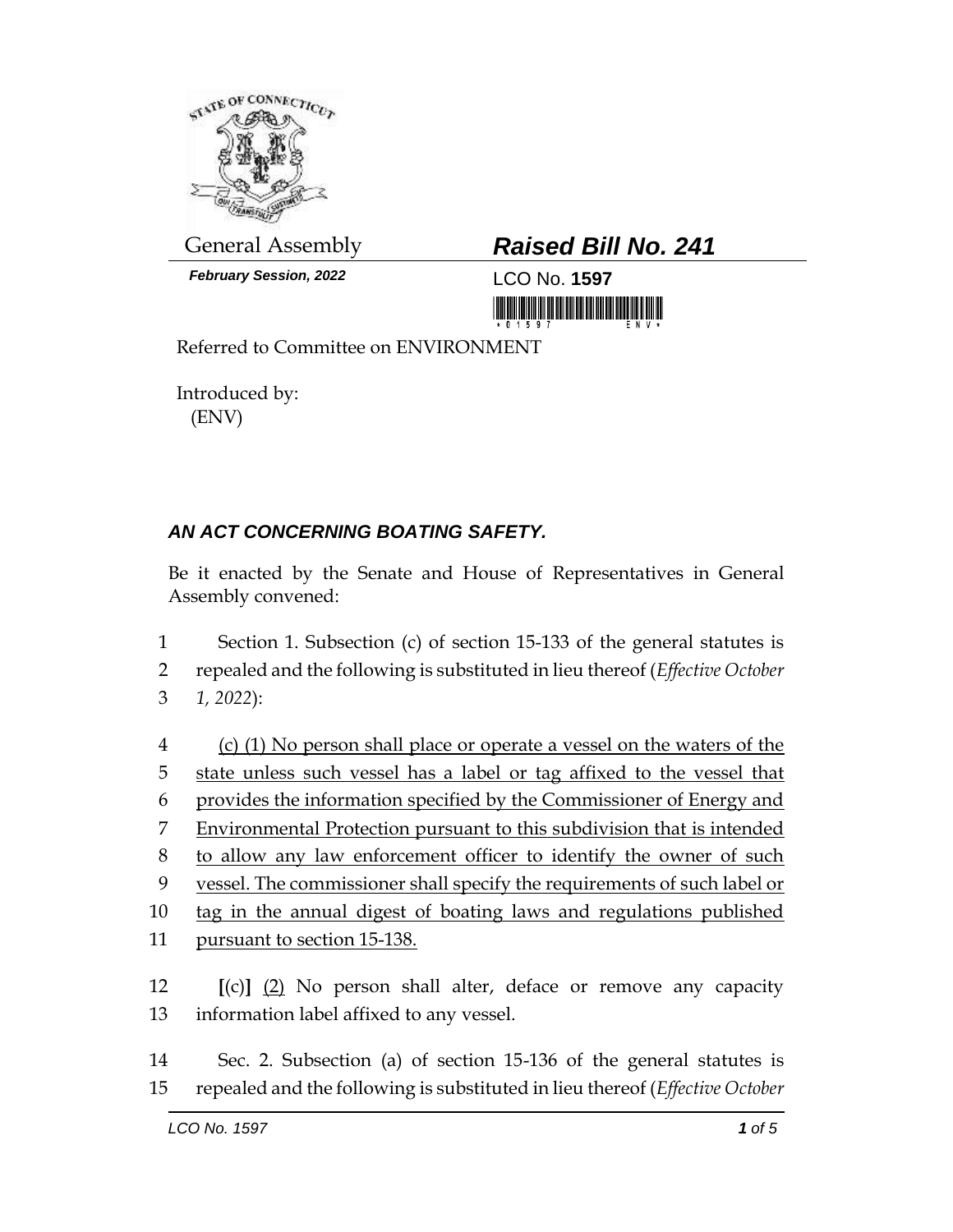

*February Session, 2022* LCO No. **1597**

## General Assembly *Raised Bill No. 241*

Referred to Committee on ENVIRONMENT

Introduced by: (ENV)

## *AN ACT CONCERNING BOATING SAFETY.*

Be it enacted by the Senate and House of Representatives in General Assembly convened:

1 Section 1. Subsection (c) of section 15-133 of the general statutes is 2 repealed and the following is substituted in lieu thereof (*Effective October*  3 *1, 2022*):

 (c) (1) No person shall place or operate a vessel on the waters of the state unless such vessel has a label or tag affixed to the vessel that provides the information specified by the Commissioner of Energy and Environmental Protection pursuant to this subdivision that is intended to allow any law enforcement officer to identify the owner of such vessel. The commissioner shall specify the requirements of such label or tag in the annual digest of boating laws and regulations published 11 pursuant to section 15-138.

12 **[**(c)**]** (2) No person shall alter, deface or remove any capacity 13 information label affixed to any vessel.

14 Sec. 2. Subsection (a) of section 15-136 of the general statutes is 15 repealed and the following is substituted in lieu thereof (*Effective October*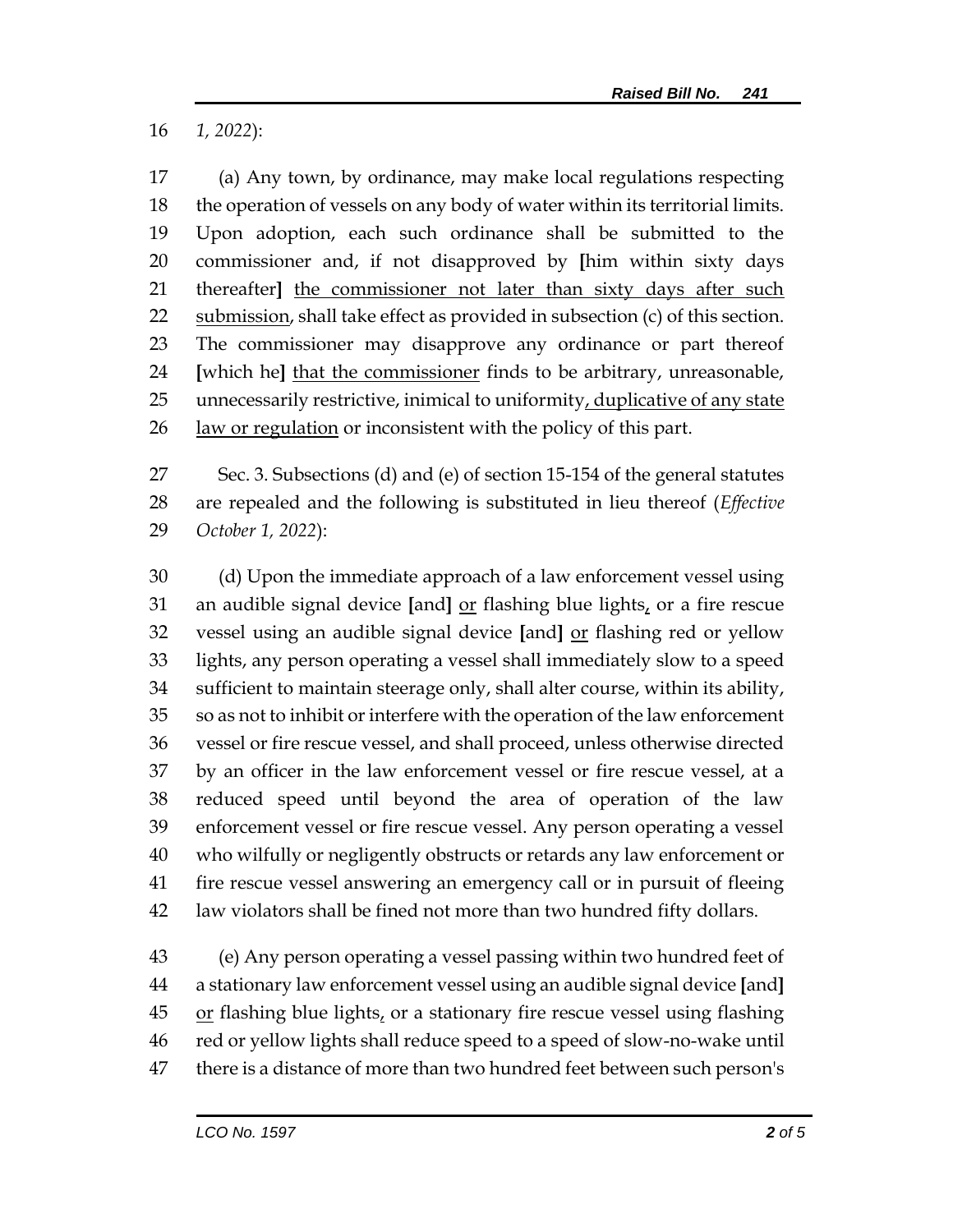*1, 2022*):

 (a) Any town, by ordinance, may make local regulations respecting the operation of vessels on any body of water within its territorial limits. Upon adoption, each such ordinance shall be submitted to the commissioner and, if not disapproved by **[**him within sixty days thereafter**]** the commissioner not later than sixty days after such 22 submission, shall take effect as provided in subsection (c) of this section. The commissioner may disapprove any ordinance or part thereof **[**which he**]** that the commissioner finds to be arbitrary, unreasonable, 25 unnecessarily restrictive, inimical to uniformity, duplicative of any state law or regulation or inconsistent with the policy of this part.

 Sec. 3. Subsections (d) and (e) of section 15-154 of the general statutes are repealed and the following is substituted in lieu thereof (*Effective October 1, 2022*):

 (d) Upon the immediate approach of a law enforcement vessel using an audible signal device **[**and**]** or flashing blue lights, or a fire rescue vessel using an audible signal device **[**and**]** or flashing red or yellow lights, any person operating a vessel shall immediately slow to a speed sufficient to maintain steerage only, shall alter course, within its ability, so as not to inhibit or interfere with the operation of the law enforcement vessel or fire rescue vessel, and shall proceed, unless otherwise directed by an officer in the law enforcement vessel or fire rescue vessel, at a reduced speed until beyond the area of operation of the law enforcement vessel or fire rescue vessel. Any person operating a vessel who wilfully or negligently obstructs or retards any law enforcement or fire rescue vessel answering an emergency call or in pursuit of fleeing law violators shall be fined not more than two hundred fifty dollars.

 (e) Any person operating a vessel passing within two hundred feet of a stationary law enforcement vessel using an audible signal device **[**and**]** or flashing blue lights, or a stationary fire rescue vessel using flashing red or yellow lights shall reduce speed to a speed of slow-no-wake until there is a distance of more than two hundred feet between such person's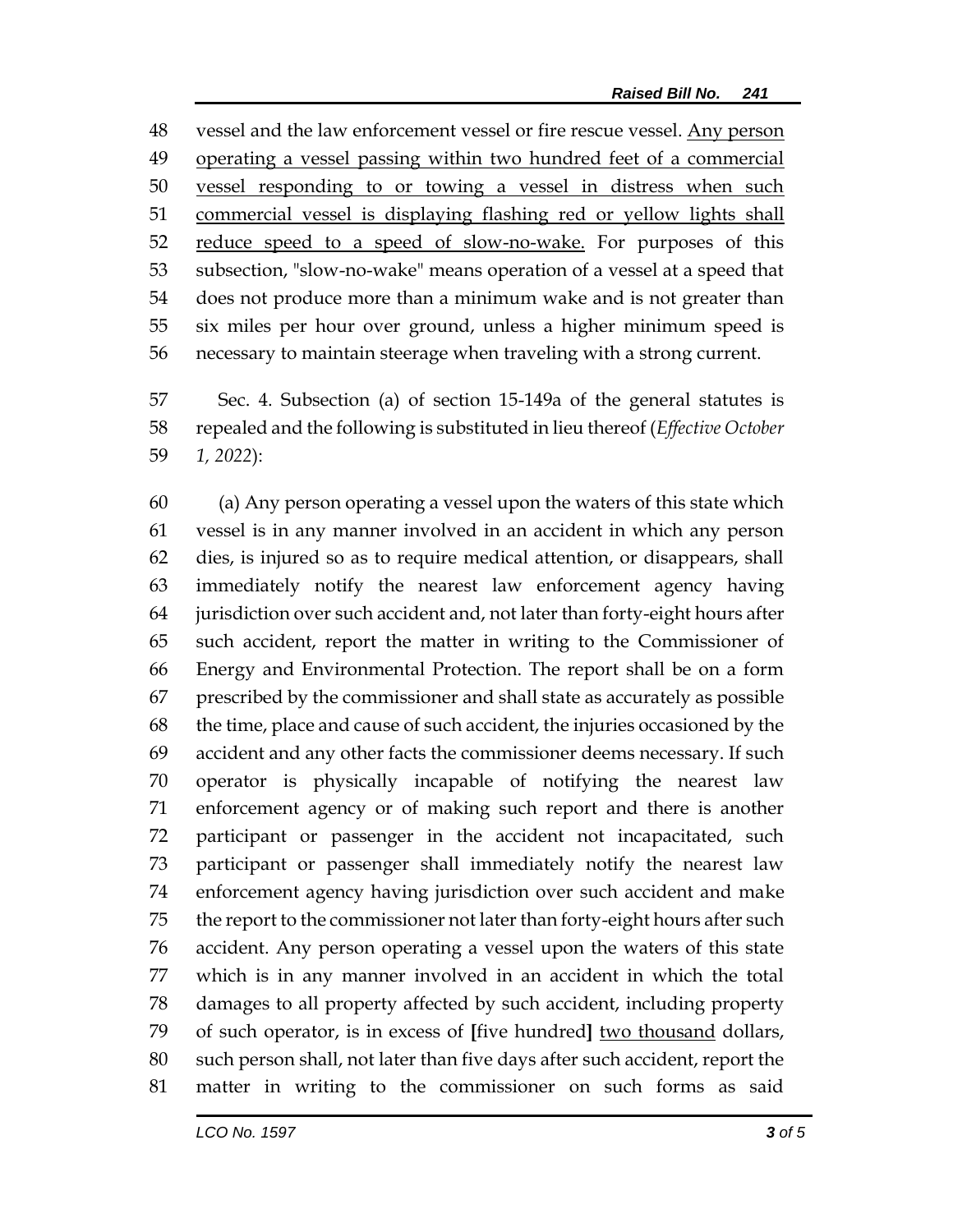vessel and the law enforcement vessel or fire rescue vessel. Any person operating a vessel passing within two hundred feet of a commercial vessel responding to or towing a vessel in distress when such commercial vessel is displaying flashing red or yellow lights shall reduce speed to a speed of slow-no-wake. For purposes of this subsection, "slow-no-wake" means operation of a vessel at a speed that does not produce more than a minimum wake and is not greater than six miles per hour over ground, unless a higher minimum speed is necessary to maintain steerage when traveling with a strong current.

 Sec. 4. Subsection (a) of section 15-149a of the general statutes is repealed and the following is substituted in lieu thereof (*Effective October 1, 2022*):

 (a) Any person operating a vessel upon the waters of this state which vessel is in any manner involved in an accident in which any person dies, is injured so as to require medical attention, or disappears, shall immediately notify the nearest law enforcement agency having jurisdiction over such accident and, not later than forty-eight hours after such accident, report the matter in writing to the Commissioner of Energy and Environmental Protection. The report shall be on a form prescribed by the commissioner and shall state as accurately as possible the time, place and cause of such accident, the injuries occasioned by the accident and any other facts the commissioner deems necessary. If such operator is physically incapable of notifying the nearest law enforcement agency or of making such report and there is another participant or passenger in the accident not incapacitated, such participant or passenger shall immediately notify the nearest law enforcement agency having jurisdiction over such accident and make the report to the commissioner not later than forty-eight hours after such accident. Any person operating a vessel upon the waters of this state which is in any manner involved in an accident in which the total damages to all property affected by such accident, including property of such operator, is in excess of **[**five hundred**]** two thousand dollars, such person shall, not later than five days after such accident, report the matter in writing to the commissioner on such forms as said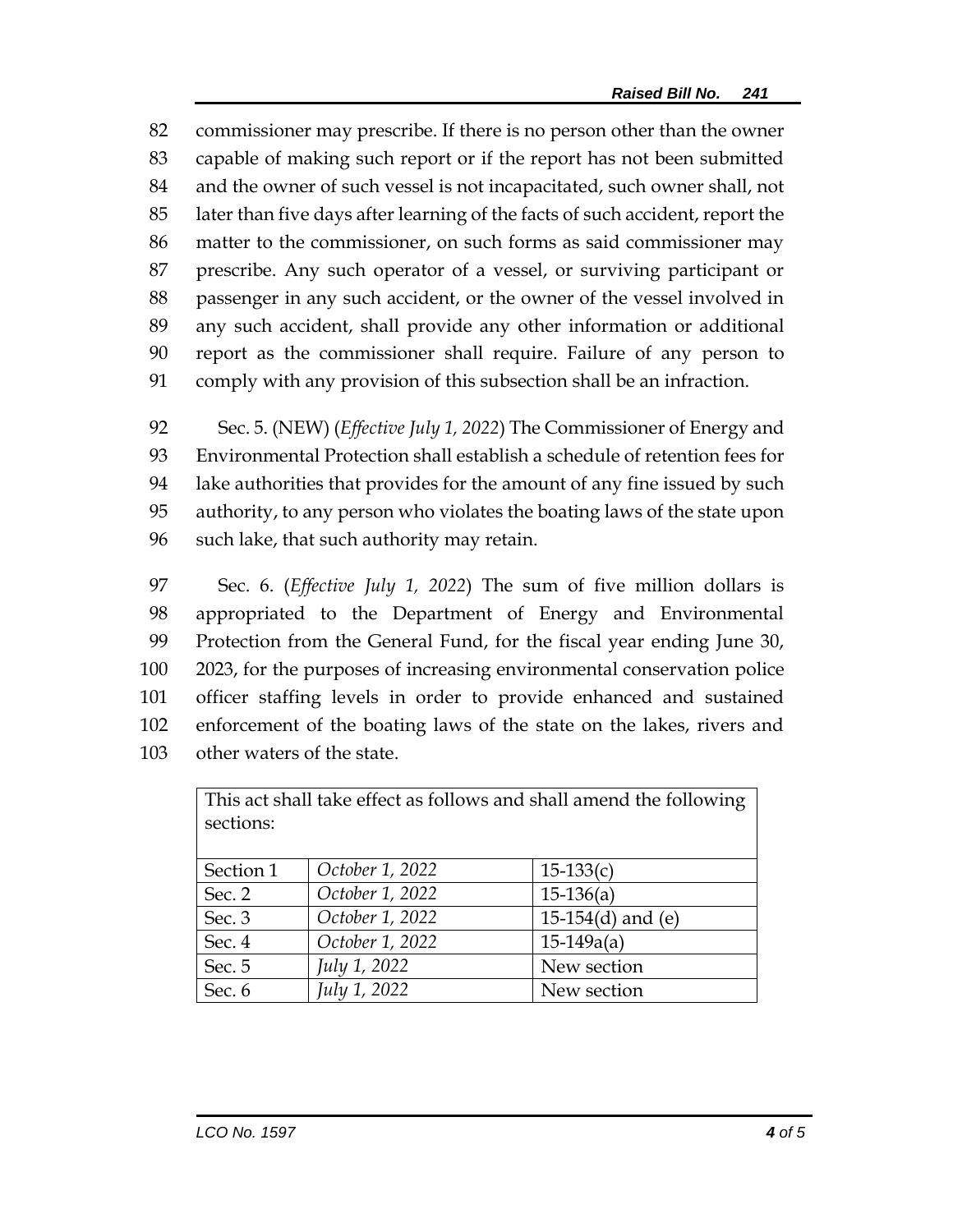commissioner may prescribe. If there is no person other than the owner capable of making such report or if the report has not been submitted and the owner of such vessel is not incapacitated, such owner shall, not later than five days after learning of the facts of such accident, report the matter to the commissioner, on such forms as said commissioner may prescribe. Any such operator of a vessel, or surviving participant or passenger in any such accident, or the owner of the vessel involved in any such accident, shall provide any other information or additional report as the commissioner shall require. Failure of any person to comply with any provision of this subsection shall be an infraction.

 Sec. 5. (NEW) (*Effective July 1, 2022*) The Commissioner of Energy and Environmental Protection shall establish a schedule of retention fees for lake authorities that provides for the amount of any fine issued by such authority, to any person who violates the boating laws of the state upon such lake, that such authority may retain.

 Sec. 6. (*Effective July 1, 2022*) The sum of five million dollars is appropriated to the Department of Energy and Environmental Protection from the General Fund, for the fiscal year ending June 30, 2023, for the purposes of increasing environmental conservation police officer staffing levels in order to provide enhanced and sustained enforcement of the boating laws of the state on the lakes, rivers and other waters of the state.

| This act shall take effect as follows and shall amend the following<br>sections: |                 |                        |
|----------------------------------------------------------------------------------|-----------------|------------------------|
| Section 1                                                                        | October 1, 2022 | $15-133(c)$            |
| Sec. 2                                                                           | October 1, 2022 | $15-136(a)$            |
| Sec. 3                                                                           | October 1, 2022 | 15-154 $(d)$ and $(e)$ |
| Sec. 4                                                                           | October 1, 2022 | $15-149a(a)$           |
| Sec. 5                                                                           | July 1, 2022    | New section            |
| Sec. 6                                                                           | July 1, 2022    | New section            |